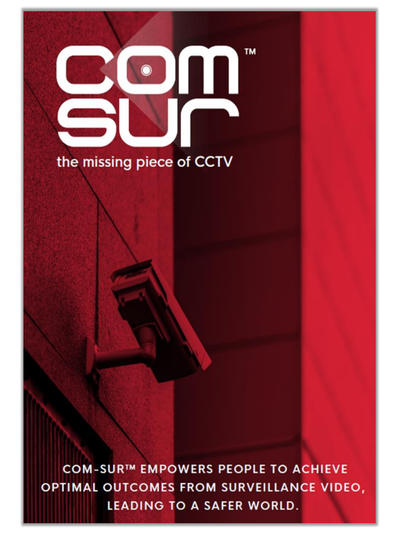# **TM**  $\bullet$ the missing piece of CCTV

COM-SUR™ EMPOWERS PEOPLE TO ACHIEVE OPTIMAL OUTCOMES FROM SURVEILLANCE VIDEO, **LEADING TO A SAFER WORLD.**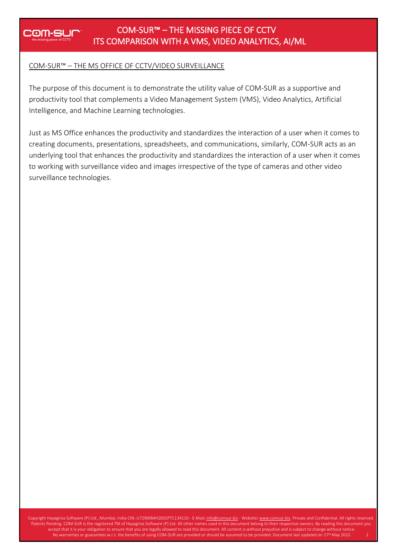## **COM-SUR**

#### COM-SUR™ – THE MISSING PIECE OF CCTV ITS COMPARISON WITH A VMS, VIDEO ANALYTICS, AI/ML

#### COM-SUR™ – THE MS OFFICE OF CCTV/VIDEO SURVEILLANCE

The purpose of this document is to demonstrate the utility value of COM-SUR as a supportive and productivity tool that complements a Video Management System (VMS), Video Analytics, Artificial Intelligence, and Machine Learning technologies.

Just as MS Office enhances the productivity and standardizes the interaction of a user when it comes to creating documents, presentations, spreadsheets, and communications, similarly, COM-SUR acts as an underlying tool that enhances the productivity and standardizes the interaction of a user when it comes to working with surveillance video and images irrespective of the type of cameras and other video surveillance technologies.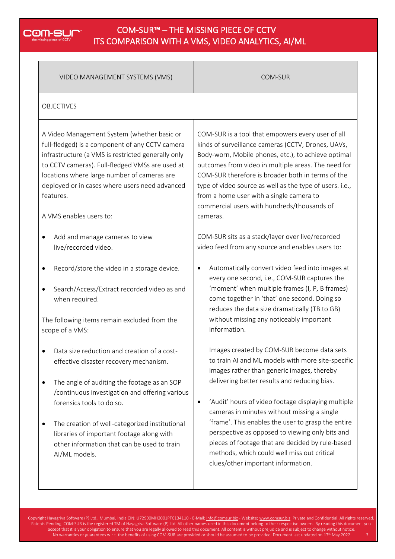## **COM-SUM**

#### COM-SUR™ – THE MISSING PIECE OF CCTV ITS COMPARISON WITH A VMS, VIDEO ANALYTICS, AI/ML

| VIDEO MANAGEMENT SYSTEMS (VMS)                                                                                                                                                                                                                                                                                                                                                     | COM-SUR                                                                                                                                                                                                                                                                                                                                                                                                                                                                                                                                                           |  |  |  |
|------------------------------------------------------------------------------------------------------------------------------------------------------------------------------------------------------------------------------------------------------------------------------------------------------------------------------------------------------------------------------------|-------------------------------------------------------------------------------------------------------------------------------------------------------------------------------------------------------------------------------------------------------------------------------------------------------------------------------------------------------------------------------------------------------------------------------------------------------------------------------------------------------------------------------------------------------------------|--|--|--|
| <b>OBJECTIVES</b>                                                                                                                                                                                                                                                                                                                                                                  |                                                                                                                                                                                                                                                                                                                                                                                                                                                                                                                                                                   |  |  |  |
| A Video Management System (whether basic or<br>full-fledged) is a component of any CCTV camera<br>infrastructure (a VMS is restricted generally only<br>to CCTV cameras). Full-fledged VMSs are used at<br>locations where large number of cameras are<br>deployed or in cases where users need advanced<br>features.<br>A VMS enables users to:                                   | COM-SUR is a tool that empowers every user of all<br>kinds of surveillance cameras (CCTV, Drones, UAVs,<br>Body-worn, Mobile phones, etc.), to achieve optimal<br>outcomes from video in multiple areas. The need for<br>COM-SUR therefore is broader both in terms of the<br>type of video source as well as the type of users. i.e.,<br>from a home user with a single camera to<br>commercial users with hundreds/thousands of<br>cameras.                                                                                                                     |  |  |  |
| Add and manage cameras to view<br>live/recorded video.                                                                                                                                                                                                                                                                                                                             | COM-SUR sits as a stack/layer over live/recorded<br>video feed from any source and enables users to:                                                                                                                                                                                                                                                                                                                                                                                                                                                              |  |  |  |
| Record/store the video in a storage device.<br>Search/Access/Extract recorded video as and<br>$\bullet$<br>when required.<br>The following items remain excluded from the<br>scope of a VMS:                                                                                                                                                                                       | Automatically convert video feed into images at<br>every one second, i.e., COM-SUR captures the<br>'moment' when multiple frames (I, P, B frames)<br>come together in 'that' one second. Doing so<br>reduces the data size dramatically (TB to GB)<br>without missing any noticeably important<br>information.                                                                                                                                                                                                                                                    |  |  |  |
| Data size reduction and creation of a cost-<br>effective disaster recovery mechanism.<br>The angle of auditing the footage as an SOP<br>/continuous investigation and offering various<br>forensics tools to do so.<br>The creation of well-categorized institutional<br>libraries of important footage along with<br>other information that can be used to train<br>AI/ML models. | Images created by COM-SUR become data sets<br>to train AI and ML models with more site-specific<br>images rather than generic images, thereby<br>delivering better results and reducing bias.<br>'Audit' hours of video footage displaying multiple<br>$\bullet$<br>cameras in minutes without missing a single<br>'frame'. This enables the user to grasp the entire<br>perspective as opposed to viewing only bits and<br>pieces of footage that are decided by rule-based<br>methods, which could well miss out critical<br>clues/other important information. |  |  |  |

Copyright Hayagriva Software (P) Ltd., Mumbai, India CIN: U72900MH2001PTC134110 - E-Mail: <u>[info@comsur.biz](mailto:info@comsur.biz)</u> - Website: <u>www.comsur.biz</u>. Private and Confidential. All rights reserved. Patents Pending. COM-SUR is the registered TM of Hayagriva Software (P) Ltd. All other names used in this document belong to their respective owners. By reading this document you accept that it is your obligation to ensure that you are legally allowed to read this document. All content is without prejudice and is subject to change without notice. No warranties or guarantees w.r.t. the benefits of using COM-SUR are provided or should be assumed to be provided. Document last updated on 17<sup>th</sup> May 2022. 3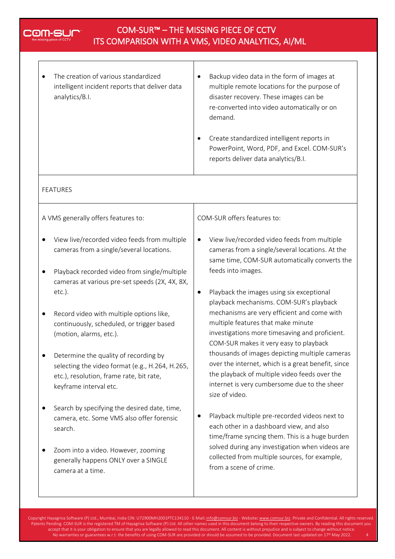|   | The creation of various standardized<br>intelligent incident reports that deliver data<br>analytics/B.I.                                                       | Backup video data in the form of images at<br>$\bullet$<br>multiple remote locations for the purpose of<br>disaster recovery. These images can be<br>re-converted into video automatically or on<br>demand.<br>Create standardized intelligent reports in<br>٠<br>PowerPoint, Word, PDF, and Excel. COM-SUR's<br>reports deliver data analytics/B.I. |
|---|----------------------------------------------------------------------------------------------------------------------------------------------------------------|------------------------------------------------------------------------------------------------------------------------------------------------------------------------------------------------------------------------------------------------------------------------------------------------------------------------------------------------------|
|   | <b>FEATURES</b>                                                                                                                                                |                                                                                                                                                                                                                                                                                                                                                      |
|   | A VMS generally offers features to:                                                                                                                            | COM-SUR offers features to:                                                                                                                                                                                                                                                                                                                          |
| ٠ | View live/recorded video feeds from multiple<br>cameras from a single/several locations.<br>Playback recorded video from single/multiple                       | View live/recorded video feeds from multiple<br>$\bullet$<br>cameras from a single/several locations. At the<br>same time, COM-SUR automatically converts the<br>feeds into images.                                                                                                                                                                  |
|   | cameras at various pre-set speeds (2X, 4X, 8X,<br>$etc.$ ).                                                                                                    | Playback the images using six exceptional<br>$\bullet$<br>playback mechanisms. COM-SUR's playback                                                                                                                                                                                                                                                    |
|   | Record video with multiple options like,<br>continuously, scheduled, or trigger based<br>(motion, alarms, etc.).                                               | mechanisms are very efficient and come with<br>multiple features that make minute<br>investigations more timesaving and proficient.<br>COM-SUR makes it very easy to playback                                                                                                                                                                        |
|   | Determine the quality of recording by<br>selecting the video format (e.g., H.264, H.265,<br>etc.), resolution, frame rate, bit rate,<br>keyframe interval etc. | thousands of images depicting multiple cameras<br>over the internet, which is a great benefit, since<br>the playback of multiple video feeds over the<br>internet is very cumbersome due to the sheer<br>size of video.                                                                                                                              |
|   | Search by specifying the desired date, time,<br>camera, etc. Some VMS also offer forensic<br>search.                                                           | Playback multiple pre-recorded videos next to<br>each other in a dashboard view, and also<br>time/frame syncing them. This is a huge burden                                                                                                                                                                                                          |
|   | Zoom into a video. However, zooming<br>generally happens ONLY over a SINGLE                                                                                    | solved during any investigation when videos are<br>collected from multiple sources, for example,                                                                                                                                                                                                                                                     |

Copyright Hayagriva Software (P) Ltd., Mumbai, India CIN: U72900MH2001PTC134110 - E-Mail: <u>[info@comsur.biz](mailto:info@comsur.biz)</u> - Website: <u>www.comsur.biz</u>. Private and Confidential. All rights reserved. Patents Pending. COM-SUR is the registered TM of Hayagriva Software (P) Ltd. All other names used in this document belong to their respective owners. By reading this document you accept that it is your obligation to ensure that you are legally allowed to read this document. All content is without prejudice and is subject to change without notice. No warranties or guarantees w.r.t. the benefits of using COM-SUR are provided or should be assumed to be provided. Document last updated on 17<sup>th</sup> May 2022. 4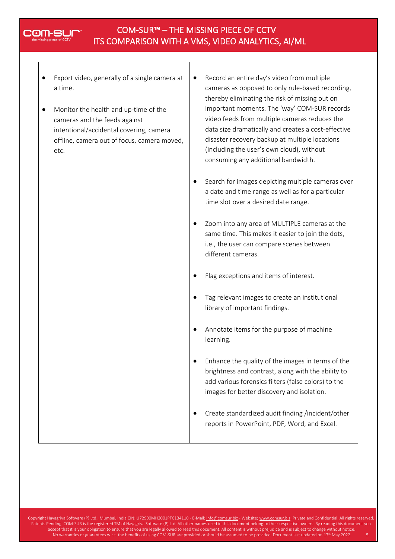## 20M-Sl

#### COM-SUR™ – THE MISSING PIECE OF CCTV ITS COMPARISON WITH A VMS, VIDEO ANALYTICS, AI/ML

- Export video, generally of a single camera at a time.
- Monitor the health and up-time of the cameras and the feeds against intentional/accidental covering, camera offline, camera out of focus, camera moved, etc.
- Record an entire day's video from multiple cameras as opposed to only rule-based recording, thereby eliminating the risk of missing out on important moments. The 'way' COM-SUR records video feeds from multiple cameras reduces the data size dramatically and creates a cost-effective disaster recovery backup at multiple locations (including the user's own cloud), without consuming any additional bandwidth.
- Search for images depicting multiple cameras over a date and time range as well as for a particular time slot over a desired date range.
- Zoom into any area of MULTIPLE cameras at the same time. This makes it easier to join the dots, i.e., the user can compare scenes between different cameras.
- Flag exceptions and items of interest.
- Tag relevant images to create an institutional library of important findings.
- Annotate items for the purpose of machine learning.
- Enhance the quality of the images in terms of the brightness and contrast, along with the ability to add various forensics filters (false colors) to the images for better discovery and isolation.
- Create standardized audit finding /incident/other reports in PowerPoint, PDF, Word, and Excel.

Copyright Hayagriva Software (P) Ltd., Mumbai, India CIN: U72900MH2001PTC134110 - E-Mail: [info@comsur.biz](mailto:info@comsur.biz) - Website[: www.comsur.biz.](http://www.comsur.biz/) Private and Confidential. All rights reserved. Patents Pending. COM-SUR is the registered TM of Hayagriva Software (P) Ltd. All other names used in this document belong to their respective owners. By reading this document you accept that it is your obligation to ensure that you are legally allowed to read this document. All content is without prejudice and is subject to change without notice. No warranties or guarantees w.r.t. the benefits of using COM-SUR are provided or should be assumed to be provided. Document last updated on 17<sup>th</sup> May 2022. 5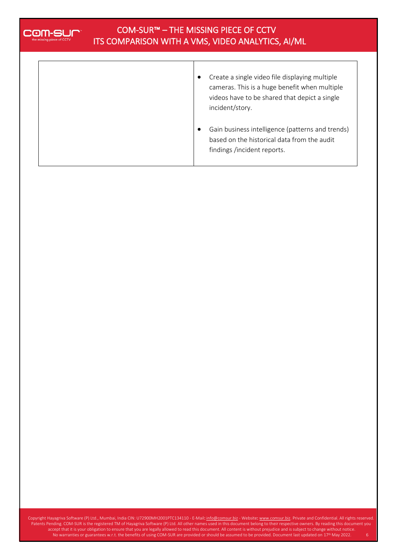

### COM-SUR™ – THE MISSING PIECE OF CCTV ITS COMPARISON WITH A VMS, VIDEO ANALYTICS, AI/ML

| Create a single video file displaying multiple |  |
|------------------------------------------------|--|
| cameras. This is a huge benefit when multiple  |  |
| videos have to be shared that depict a single  |  |
| incident/story.                                |  |
|                                                |  |
|                                                |  |

• Gain business intelligence (patterns and trends) based on the historical data from the audit findings /incident reports.

Copyright Hayagriva Software (P) Ltd., Mumbai, India CIN: U72900MH2001PTC134110 - E-Mail: <u>[info@comsur.biz](mailto:info@comsur.biz)</u> - Website: <u>www.comsur.biz</u>. Private and Confidential. All rights reserved. Patents Pending. COM-SUR is the registered TM of Hayagriva Software (P) Ltd. All other names used in this document belong to their respective owners. By reading this document you accept that it is your obligation to ensure that you are legally allowed to read this document. All content is without prejudice and is subject to change without notice. No warranties or guarantees w.r.t. the benefits of using COM-SUR are provided or should be assumed to be provided. Document last updated on 17<sup>th</sup> May 2022. 6